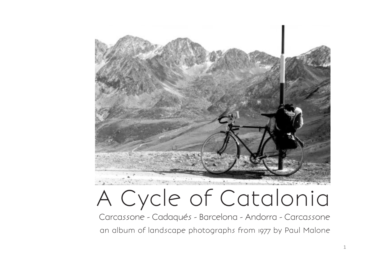

## A Cycle of Catalonia

Carcassone - Cadaqués - Barcelona - Andorra - Carcassone an album of landscape photographs from 1977 by Paul Malone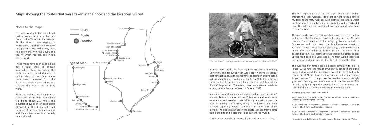## Maps showing the routes that were taken in the book and the locations visited

Notes to the maps

To make my way to Catalonia I first had to take my bicycle on the train from London Victoria to Carcassone. At the time I was staying in Warrington, Cheshire and so took the opportunity to do the 3 day cycle ride down the A49, the B4000 and the A4 which you can see in the boxed insert.

These maps have been kept simple but I think there is enough information there to follow the route on more detailed maps or online. Many of the place names have been converted from the Spanish or English translations into Catalan; the French are as they were.

Both the England and Catalan map scales are similar with the England trip being about 250 miles. The elevations have been left out but it is obvious from the photographs that this area of the Pyrenees mountains and Catalonian coast is extremely mountainous!



The plan was to cycle from Warrington, down the Severn Valley and across the Lambourn Downs, to pick up the A4 into London. From there I would be taking my bike on the train to Carcassone and tour down the Mediterranean coast to Barcelona. After a week spent sightseeing, the tour would cut inland into the Catalonian interior and up to Andorra. After descending to Ax les Thermes I would then climb across to pick up the road back into Carcassone. The train would then take me back to London in time for the start of term at the RCA.

In June 1976 I graduated from my Fine Art course at Reading University. The following year was spent working at various part-time jobs and, at the same time, engaging in art projects in a disused chalk quarry outside of the town. With this artwork I succeeded in being accepted for a place in sculpture at the Royal College of Art. Therefore, there were several weeks to occupy before the start of term in October 1977.

In previous years I had gone on several cycling tours in Europe\* and was keen to do another one. This was to add to my travel experiences and to collect material for my new art course at the RCA. In making these trips, many hard lessons had been learned, especially when it came to the robustness of my bicycle! The one you can see in the photo is made from a scrap frame and bits and pieces that I had customised myself.

Cutting down weight in terms of the pack was also a 'must'.

This was the first time I took a decent camera with me - a Pentax SLR 35mm - the results of which you can see here in this book. I developed the negatives myself in 1977 but only recently in 2021 did I have the time to scan and prepare them. As you can see from the photos the weather was surprisingly good and I had a great time immersed in the landscape. This period saw Spain expand economically so it is an interesting record of the area before it was extensively developed.

This was especially so as on this trip I would be traveling through the High Pyrenees. From left to right in the photo is my tent, foam mat, rucksack with clothes, etc. and a water bottle wrapped in blanket material; soaked in water this kept it cool. The side panniers contained my camera and everything to do with food.

*\* Other cycling tours in the same period*

1973: Firenze - Cote d'Azur - Carcassone - Bordeaux - train to Rennes - Cherbourg - Southampton - Reading

1974: Barcelona - Carcassone - Lourdes - Biarritz - Bordeaux - train to Rennes - Cherbourg- Southampton - Reading

1975: Valencia - Barcelona - Puigcerdá - Toulouse - Barcelona - train to Rennes - Cherbourg- Southampton - Reading

Following trip in 1981: Milan - Carrara - Siena - Pesaro - Ravenna - Venice



*The author: Preparing to embark. Warrington. September 1977*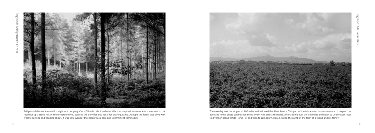

Bridgenorth Forest was my first night out camping after a 70 mile ride. I had used this spot on previous tours which was next to the road but up a steep hill. In the foreground you can see the only flat area ideal for pitching camp. At night the forest was alive with wildlife rustling and flapping about. It was little wonder that sleep was a rare and intermittent commodity.



The next day was the longest at 100 miles and followed the River Severn. This part of the trip was on busy main roads to keep up the pace and in this photo can be seen the Malvern Hills across the fields. After a climb over the Cotwolds and down to Cirencester, I was to divert off along White Horse Hill and then to Lambourn. Here I stayed the night on the farm of a friend and his family.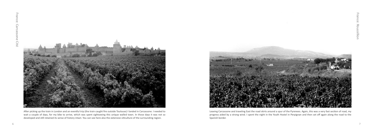

After picking up the train in London and an eventful trip (the train caught fire outside Toulouse) I landed in Carcassone. I needed to wait a couple of days, for my bike to arrive, which was spent sightseeing this unique walled town. In those days it was not so developed and still retained its sense of history intact. You can see here also the extensive viticulture of the surrounding region.



Leaving Carcassone and traveling East the road skirts around a spur of the Pyrenees. Again, this was a very fast section of road, my progress aided by a strong wind. I spent the night in the Youth Hostel in Perpignan and then set off again along the road to the Spanish border.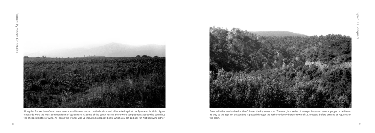

Along this flat section of road were several small towns, dotted on the horizon and silhouetted against the Pyrenean foothills. Again, vineyards were the most common form of agriculture. At some of the youth hostels there were competitions about who could buy the cheapest bottle of wine. As I recall the winner was 5p including a deposit bottle which you got 1p back for. Not bad wine either!



Eventually the road arrived at the Col over the Pyrenees spur. The road, in a series of sweeps, bypassed several gorges or defiles on its way to the top. On descending it passed through the rather unlovely border town of La Jonquera before arriving at Figueres on the plain.